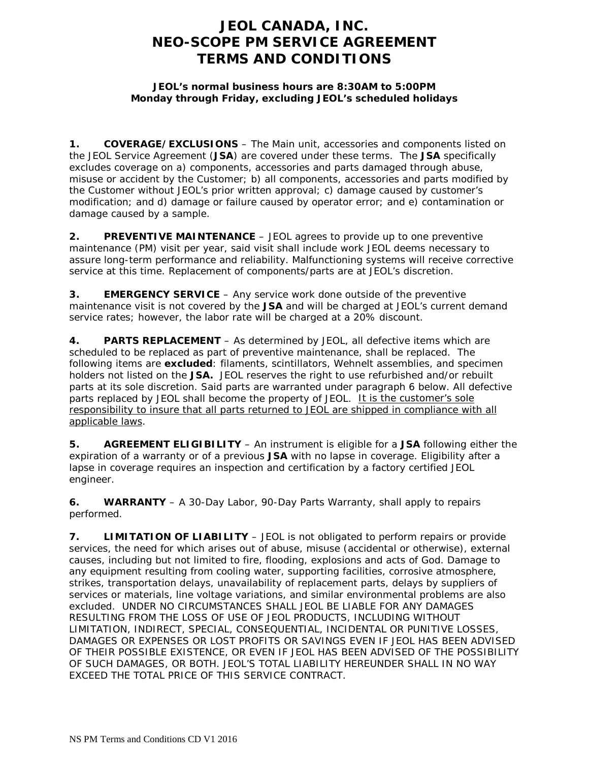## **JEOL CANADA, INC. NEO-SCOPE PM SERVICE AGREEMENT TERMS AND CONDITIONS**

## **JEOL's normal business hours are 8:30AM to 5:00PM Monday through Friday, excluding JEOL's scheduled holidays**

**1. COVERAGE/EXCLUSIONS** – The Main unit, accessories and components listed on the JEOL Service Agreement (**JSA**) are covered under these terms. The **JSA** specifically excludes coverage on a) components, accessories and parts damaged through abuse, misuse or accident by the Customer; b) all components, accessories and parts modified by the Customer without JEOL's prior written approval; c) damage caused by customer's modification; and d) damage or failure caused by operator error; and e) contamination or damage caused by a sample.

**2. PREVENTIVE MAINTENANCE** – JEOL agrees to provide up to one preventive maintenance (PM) visit per year, said visit shall include work JEOL deems necessary to assure long-term performance and reliability. Malfunctioning systems will receive corrective service at this time. Replacement of components/parts are at JEOL's discretion.

**3. EMERGENCY SERVICE** – Any service work done outside of the preventive maintenance visit is not covered by the **JSA** and will be charged at JEOL's current demand service rates; however, the labor rate will be charged at a 20% discount.

**4. PARTS REPLACEMENT** – As determined by JEOL, all defective items which are scheduled to be replaced as part of preventive maintenance, shall be replaced. The following items are **excluded**: filaments, scintillators, Wehnelt assemblies, and specimen holders not listed on the **JSA.** JEOL reserves the right to use refurbished and/or rebuilt parts at its sole discretion. Said parts are warranted under paragraph 6 below. All defective parts replaced by JEOL shall become the property of JEOL. It is the customer's sole responsibility to insure that all parts returned to JEOL are shipped in compliance with all applicable laws.

**5. AGREEMENT ELIGIBILITY** – An instrument is eligible for a **JSA** following either the expiration of a warranty or of a previous **JSA** with no lapse in coverage. Eligibility after a lapse in coverage requires an inspection and certification by a factory certified JEOL engineer.

**6. WARRANTY** – A 30-Day Labor, 90-Day Parts Warranty, shall apply to repairs performed.

**7. LIMITATION OF LIABILITY** – JEOL is not obligated to perform repairs or provide services, the need for which arises out of abuse, misuse (accidental or otherwise), external causes, including but not limited to fire, flooding, explosions and acts of God. Damage to any equipment resulting from cooling water, supporting facilities, corrosive atmosphere, strikes, transportation delays, unavailability of replacement parts, delays by suppliers of services or materials, line voltage variations, and similar environmental problems are also excluded. UNDER NO CIRCUMSTANCES SHALL JEOL BE LIABLE FOR ANY DAMAGES RESULTING FROM THE LOSS OF USE OF JEOL PRODUCTS, INCLUDING WITHOUT LIMITATION, INDIRECT, SPECIAL, CONSEQUENTIAL, INCIDENTAL OR PUNITIVE LOSSES, DAMAGES OR EXPENSES OR LOST PROFITS OR SAVINGS EVEN IF JEOL HAS BEEN ADVISED OF THEIR POSSIBLE EXISTENCE, OR EVEN IF JEOL HAS BEEN ADVISED OF THE POSSIBILITY OF SUCH DAMAGES, OR BOTH. JEOL'S TOTAL LIABILITY HEREUNDER SHALL IN NO WAY EXCEED THE TOTAL PRICE OF THIS SERVICE CONTRACT.